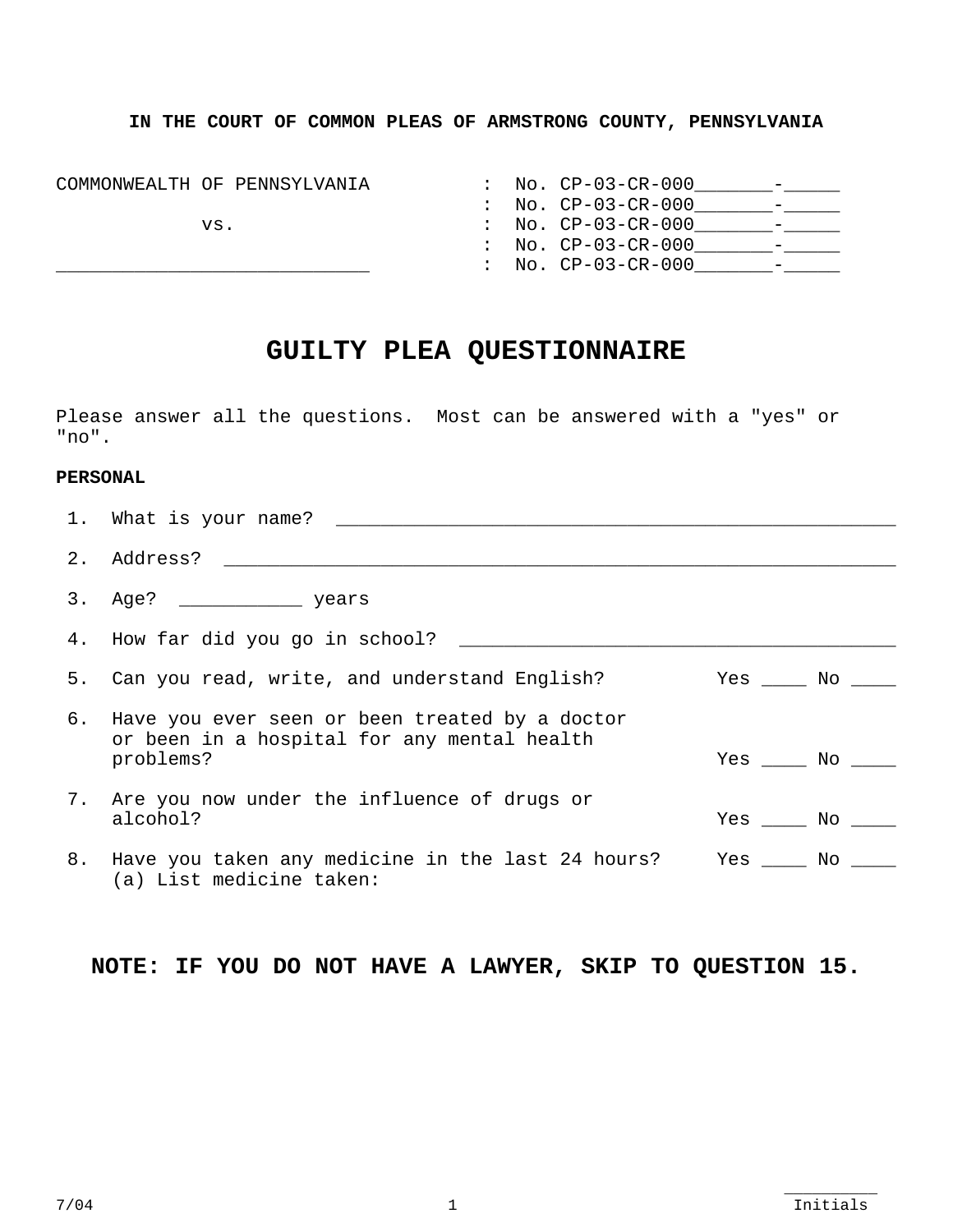## **IN THE COURT OF COMMON PLEAS OF ARMSTRONG COUNTY, PENNSYLVANIA**

| COMMONWEALTH OF PENNSYLVANIA | No. CP-03-CR-000                                                     |
|------------------------------|----------------------------------------------------------------------|
|                              | No. CP-03-CR-000<br>$\mathcal{L}$<br>$\overline{\phantom{0}}$        |
| VS.                          | No. CP-03-CR-000                                                     |
|                              | No. CP-03-CR-000<br>$\mathbf{L}$<br>$\overline{\phantom{0}}$         |
|                              | $\text{No. } \text{CP}-03-\text{CR}-000$<br>$\overline{\phantom{0}}$ |

# **GUILTY PLEA QUESTIONNAIRE**

Please answer all the questions. Most can be answered with a "yes" or "no".

### **PERSONAL**

|    | 1. What is your name? _________                                                                               |                    |  |
|----|---------------------------------------------------------------------------------------------------------------|--------------------|--|
| 2. |                                                                                                               |                    |  |
|    |                                                                                                               |                    |  |
|    |                                                                                                               |                    |  |
|    | 5. Can you read, write, and understand English?                                                               | $Yes \_\_ No \_\_$ |  |
|    | 6. Have you ever seen or been treated by a doctor<br>or been in a hospital for any mental health<br>problems? | $Yes \_\_ No \_\_$ |  |
|    | 7. Are you now under the influence of drugs or<br>alcohol?                                                    | $Yes \_\_ No \_\_$ |  |
|    | 8. Have you taken any medicine in the last 24 hours? Yes _____ No _____<br>(a) List medicine taken:           |                    |  |

 **NOTE: IF YOU DO NOT HAVE A LAWYER, SKIP TO QUESTION 15.**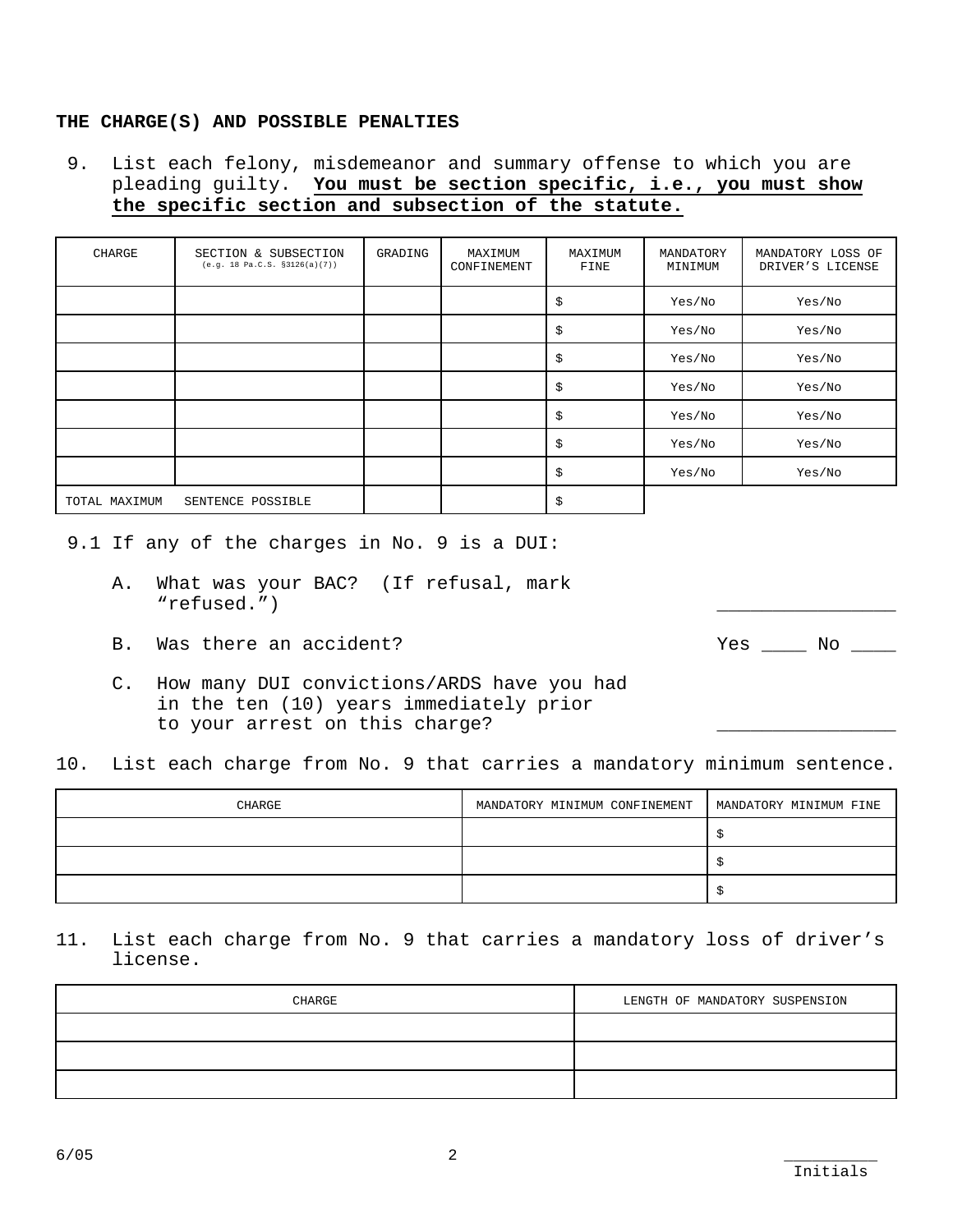### **THE CHARGE(S) AND POSSIBLE PENALTIES**

 9. List each felony, misdemeanor and summary offense to which you are pleading guilty. **You must be section specific, i.e., you must show the specific section and subsection of the statute.**

| CHARGE        | SECTION & SUBSECTION<br>(e.g. 18 Pa.C.S. §3126(a)(7)) | GRADING | MAXIMUM<br>CONFINEMENT | MAXIMUM<br>FINE | MANDATORY<br>MINIMUM | MANDATORY LOSS OF<br>DRIVER'S LICENSE |
|---------------|-------------------------------------------------------|---------|------------------------|-----------------|----------------------|---------------------------------------|
|               |                                                       |         |                        | \$              | Yes/No               | Yes/No                                |
|               |                                                       |         |                        | \$              | Yes/No               | Yes/No                                |
|               |                                                       |         |                        | \$              | Yes/No               | Yes/No                                |
|               |                                                       |         |                        | \$              | Yes/No               | Yes/No                                |
|               |                                                       |         |                        | \$              | Yes/No               | Yes/No                                |
|               |                                                       |         |                        | \$              | Yes/No               | Yes/No                                |
|               |                                                       |         |                        | \$              | Yes/No               | Yes/No                                |
| TOTAL MAXIMUM | SENTENCE POSSIBLE                                     |         |                        | \$              |                      |                                       |

9.1 If any of the charges in No. 9 is a DUI:

- A. What was your BAC? (If refusal, mark "refused.")
- B. Was there an accident? The set of the set of the set of the set of the set of the set of the set of the set of the set of the set of the set of the set of the set of the set of the set of the set of the set of the set o

- C. How many DUI convictions/ARDS have you had in the ten (10) years immediately prior to your arrest on this charge?
- 10. List each charge from No. 9 that carries a mandatory minimum sentence.

| CHARGE | MANDATORY MINIMUM CONFINEMENT | MANDATORY MINIMUM FINE |
|--------|-------------------------------|------------------------|
|        |                               |                        |
|        |                               |                        |
|        |                               |                        |

11. List each charge from No. 9 that carries a mandatory loss of driver's license.

| CHARGE | LENGTH OF MANDATORY SUSPENSION |
|--------|--------------------------------|
|        |                                |
|        |                                |
|        |                                |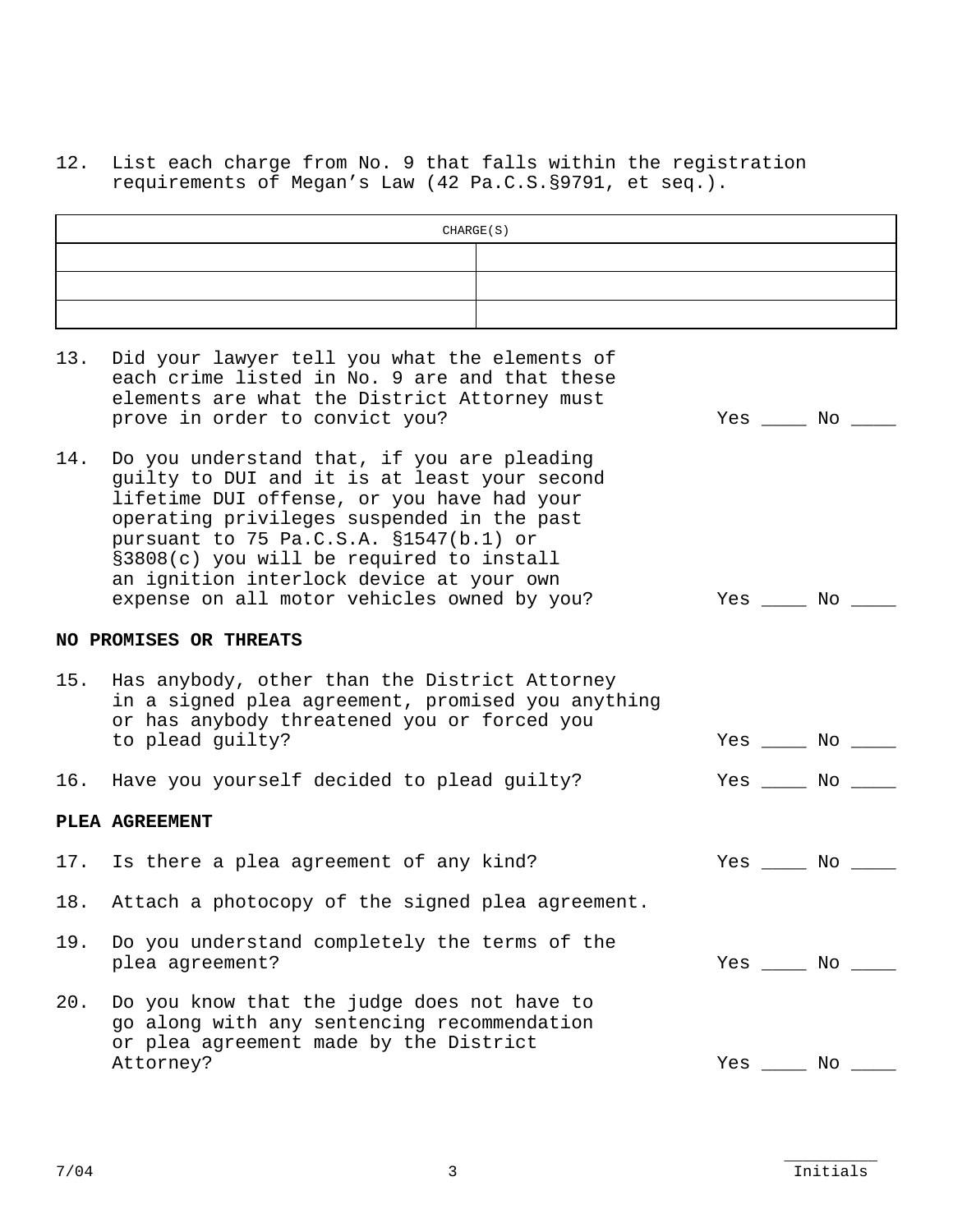12. List each charge from No. 9 that falls within the registration requirements of Megan's Law (42 Pa.C.S.§9791, et seq.).

|     | CHARGE(S)                                                                                                                                                                                                                                                                                                                                                                |                        |
|-----|--------------------------------------------------------------------------------------------------------------------------------------------------------------------------------------------------------------------------------------------------------------------------------------------------------------------------------------------------------------------------|------------------------|
|     |                                                                                                                                                                                                                                                                                                                                                                          |                        |
|     |                                                                                                                                                                                                                                                                                                                                                                          |                        |
|     |                                                                                                                                                                                                                                                                                                                                                                          |                        |
| 13. | Did your lawyer tell you what the elements of<br>each crime listed in No. 9 are and that these<br>elements are what the District Attorney must<br>prove in order to convict you?                                                                                                                                                                                         | $Yes \_\_ No \_\_$     |
| 14. | Do you understand that, if you are pleading<br>guilty to DUI and it is at least your second<br>lifetime DUI offense, or you have had your<br>operating privileges suspended in the past<br>pursuant to 75 Pa.C.S.A. §1547(b.1) or<br>§3808(c) you will be required to install<br>an ignition interlock device at your own<br>expense on all motor vehicles owned by you? | $Yes \_\_ No \_\_$     |
|     | NO PROMISES OR THREATS                                                                                                                                                                                                                                                                                                                                                   |                        |
|     | 15. Has anybody, other than the District Attorney<br>in a signed plea agreement, promised you anything<br>or has anybody threatened you or forced you<br>to plead guilty?                                                                                                                                                                                                | Yes _____ No ____      |
| 16. | Have you yourself decided to plead guilty?                                                                                                                                                                                                                                                                                                                               | $Yes \_\_\_ No \_\_\_$ |
|     | PLEA AGREEMENT                                                                                                                                                                                                                                                                                                                                                           |                        |
|     | 17. Is there a plea agreement of any kind?                                                                                                                                                                                                                                                                                                                               | $Yes \_\_ No \_\_$     |
|     | 18. Attach a photocopy of the signed plea agreement.                                                                                                                                                                                                                                                                                                                     |                        |
| 19. | Do you understand completely the terms of the<br>plea agreement?                                                                                                                                                                                                                                                                                                         | $Yes$ $No$ $\_\_$      |
| 20. | Do you know that the judge does not have to<br>go along with any sentencing recommendation<br>or plea agreement made by the District<br>Attorney?                                                                                                                                                                                                                        | $Yes \_\_\_ No \_\_\_$ |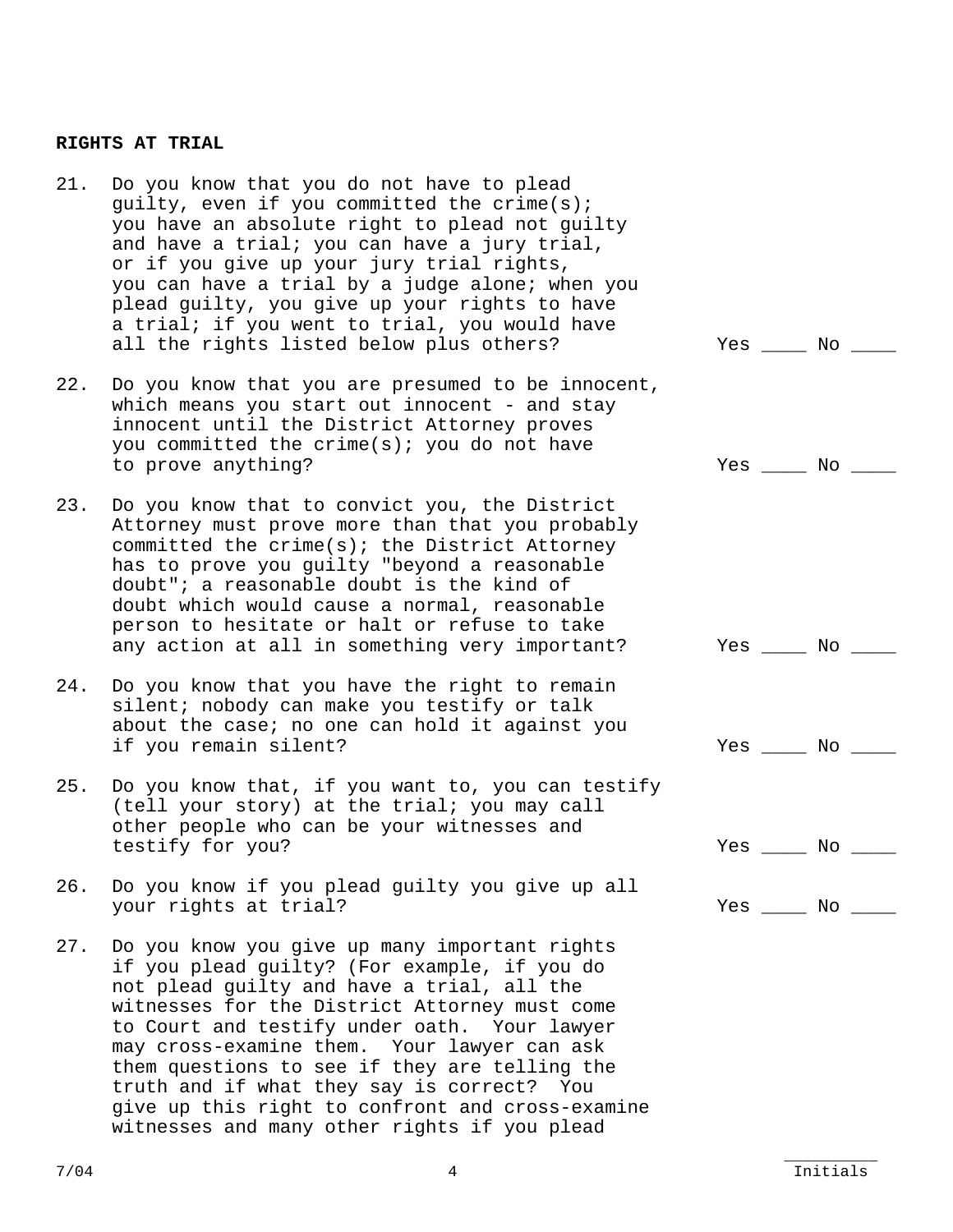#### **RIGHTS AT TRIAL**

- 21. Do you know that you do not have to plead guilty, even if you committed the crime(s); you have an absolute right to plead not guilty and have a trial; you can have a jury trial, or if you give up your jury trial rights, you can have a trial by a judge alone; when you plead guilty, you give up your rights to have a trial; if you went to trial, you would have all the rights listed below plus others? The Mo Yes \_\_\_\_ No \_\_\_
- 22. Do you know that you are presumed to be innocent, which means you start out innocent - and stay innocent until the District Attorney proves you committed the crime(s); you do not have to prove anything?  $Yes$  and  $Yes$  and  $Yes$  and  $Yes$  and  $Yes$  and  $Yes$  and  $Yes$  and  $Yes$  and  $Yes$  and  $Yes$  and  $Yes$  and  $Yes$  and  $Yes$  and  $Yes$  and  $Yes$  and  $Yes$  and  $Yes$  and  $Yes$  and  $Yes$  and  $Yes$  and  $Yes$  and  $Yes$  and  $Yes$
- 23. Do you know that to convict you, the District Attorney must prove more than that you probably committed the crime(s); the District Attorney has to prove you guilty "beyond a reasonable doubt"; a reasonable doubt is the kind of doubt which would cause a normal, reasonable person to hesitate or halt or refuse to take any action at all in something very important? Yes \_\_\_\_ No \_\_\_\_
- 24. Do you know that you have the right to remain silent; nobody can make you testify or talk about the case; no one can hold it against you if you remain silent? The state of the state of the state of the state of the state of the state of the state o
- 25. Do you know that, if you want to, you can testify (tell your story) at the trial; you may call other people who can be your witnesses and testify for you?  $\qquad \qquad$  Yes \_\_\_\_ No \_\_\_
- 26. Do you know if you plead guilty you give up all your rights at trial? The set of the set of the set of the set of the set of the set of the set of the set of t
- 27. Do you know you give up many important rights if you plead guilty? (For example, if you do not plead guilty and have a trial, all the witnesses for the District Attorney must come to Court and testify under oath. Your lawyer may cross-examine them. Your lawyer can ask them questions to see if they are telling the truth and if what they say is correct? You give up this right to confront and cross-examine witnesses and many other rights if you plead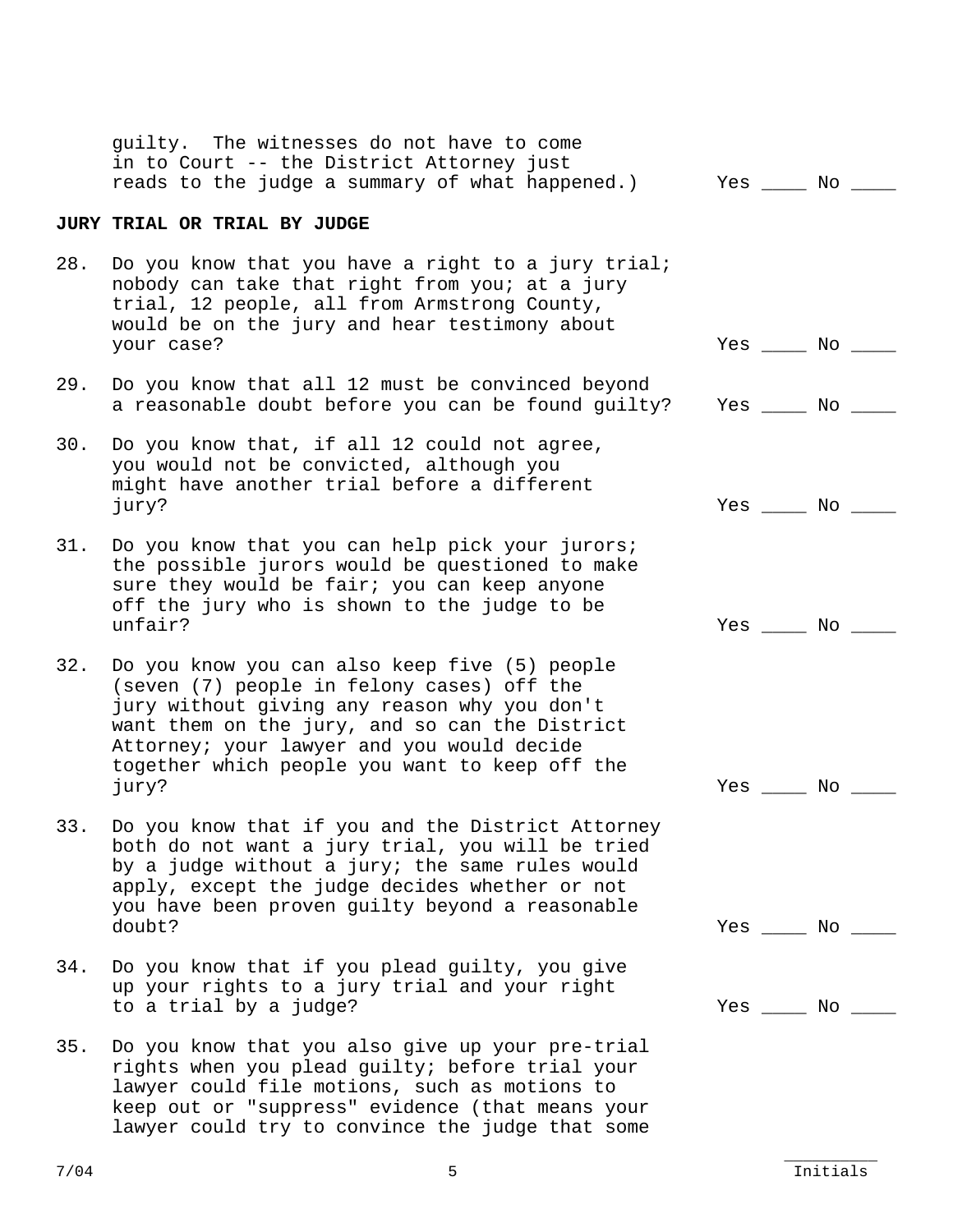|     | guilty. The witnesses do not have to come<br>in to Court -- the District Attorney just<br>reads to the judge a summary of what happened.)                                                                                                                                                              | Yes _____ No           |  |
|-----|--------------------------------------------------------------------------------------------------------------------------------------------------------------------------------------------------------------------------------------------------------------------------------------------------------|------------------------|--|
|     | JURY TRIAL OR TRIAL BY JUDGE                                                                                                                                                                                                                                                                           |                        |  |
| 28. | Do you know that you have a right to a jury trial;<br>nobody can take that right from you; at a jury<br>trial, 12 people, all from Armstrong County,<br>would be on the jury and hear testimony about<br>your case?                                                                                    | $Yes \_\_\_ No \_\_\_$ |  |
| 29. | Do you know that all 12 must be convinced beyond<br>a reasonable doubt before you can be found guilty?                                                                                                                                                                                                 | $Yes \_\_\_ No \_\_\_$ |  |
| 30. | Do you know that, if all 12 could not agree,<br>you would not be convicted, although you<br>might have another trial before a different<br>jury?                                                                                                                                                       | $Yes$ _____ No _____   |  |
| 31. | Do you know that you can help pick your jurors;<br>the possible jurors would be questioned to make<br>sure they would be fair; you can keep anyone<br>off the jury who is shown to the judge to be<br>unfair?                                                                                          | $Yes \_\_ No \_\_$     |  |
| 32. | Do you know you can also keep five (5) people<br>(seven (7) people in felony cases) off the<br>jury without giving any reason why you don't<br>want them on the jury, and so can the District<br>Attorney; your lawyer and you would decide<br>together which people you want to keep off the<br>jury? | $Yes \_\_\_ No \_\_\_$ |  |
| 33  | Do you know that if you and the District Attorney<br>both do not want a jury trial, you will be tried<br>by a judge without a jury; the same rules would<br>apply, except the judge decides whether or not<br>you have been proven guilty beyond a reasonable<br>doubt?                                | $Yes \_\_ No \_\_$     |  |
| 34. | Do you know that if you plead guilty, you give<br>up your rights to a jury trial and your right<br>to a trial by a judge?                                                                                                                                                                              | $Yes \_\_\_ No \_\_\_$ |  |
| 35. | Do you know that you also give up your pre-trial<br>rights when you plead guilty; before trial your<br>lawyer could file motions, such as motions to<br>keep out or "suppress" evidence (that means your<br>lawyer could try to convince the judge that some                                           |                        |  |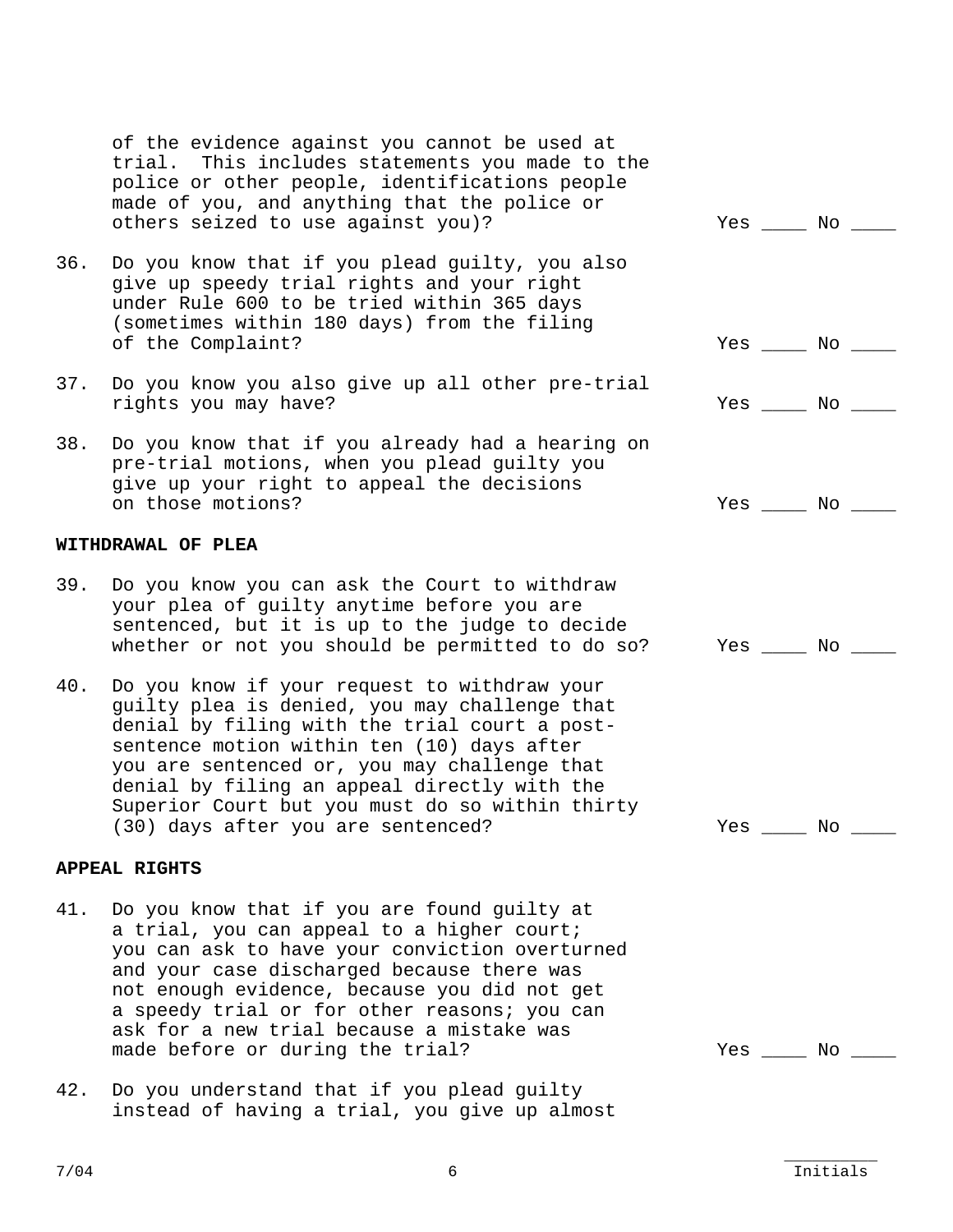of the evidence against you cannot be used at trial. This includes statements you made to the police or other people, identifications people made of you, and anything that the police or others seized to use against you)? The Montest Montest Montest Montest Montest

- 36. Do you know that if you plead guilty, you also give up speedy trial rights and your right under Rule 600 to be tried within 365 days (sometimes within 180 days) from the filing of the Complaint? The Complaint of the Complaint of the Complaint of the Mo
- 37. Do you know you also give up all other pre-trial rights you may have?  $\sim$  Yes \_\_\_\_ No \_\_\_\_
- 38. Do you know that if you already had a hearing on pre-trial motions, when you plead guilty you give up your right to appeal the decisions on those motions? The set of the set of the set of the set of the set of the set of the set of the set of the set of the set of the set of the set of the set of the set of the set of the set of the set of the set of the se

#### **WITHDRAWAL OF PLEA**

- 39. Do you know you can ask the Court to withdraw your plea of guilty anytime before you are sentenced, but it is up to the judge to decide whether or not you should be permitted to do so? Yes \_\_\_\_ No \_\_\_\_
- 40. Do you know if your request to withdraw your guilty plea is denied, you may challenge that denial by filing with the trial court a postsentence motion within ten (10) days after you are sentenced or, you may challenge that denial by filing an appeal directly with the Superior Court but you must do so within thirty (30) days after you are sentenced? The Mo of the Yes of No of the Vest of No of the Vest of No of the Vest of No

### **APPEAL RIGHTS**

- 41. Do you know that if you are found guilty at a trial, you can appeal to a higher court; you can ask to have your conviction overturned and your case discharged because there was not enough evidence, because you did not get a speedy trial or for other reasons; you can ask for a new trial because a mistake was made before or during the trial? The Mo and Mo and Mo and Mo and Mo and Mo and Mo and Mo and Mo and Mo and Mo
- 42. Do you understand that if you plead guilty instead of having a trial, you give up almost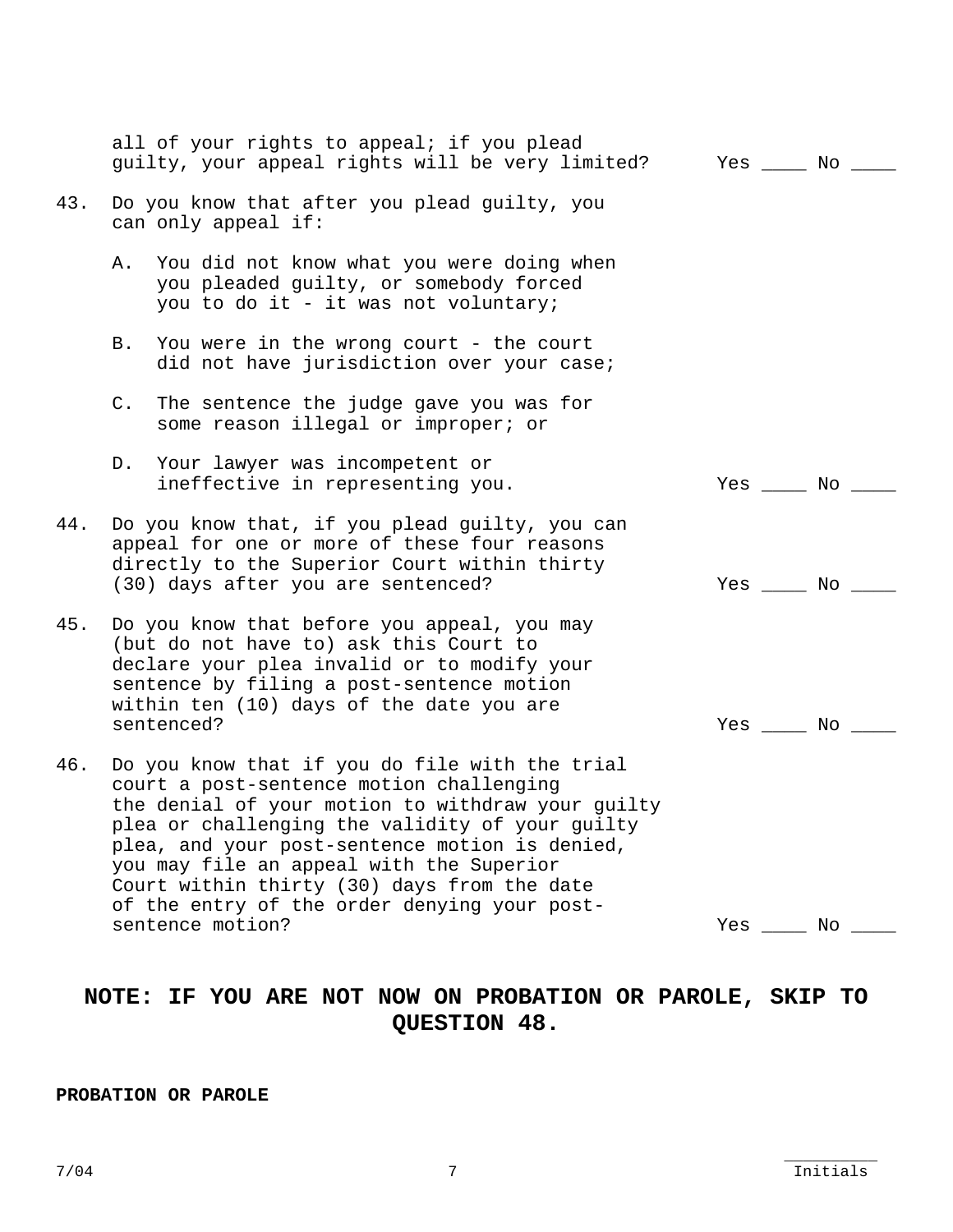|     | all of your rights to appeal; if you plead<br>guilty, your appeal rights will be very limited?                                                                                                                                                                                                                                                                                                                      | Yes No                                           |
|-----|---------------------------------------------------------------------------------------------------------------------------------------------------------------------------------------------------------------------------------------------------------------------------------------------------------------------------------------------------------------------------------------------------------------------|--------------------------------------------------|
| 43. | Do you know that after you plead guilty, you<br>can only appeal if:                                                                                                                                                                                                                                                                                                                                                 |                                                  |
|     | A. You did not know what you were doing when<br>you pleaded guilty, or somebody forced<br>you to do it - it was not voluntary;                                                                                                                                                                                                                                                                                      |                                                  |
|     | You were in the wrong court - the court<br>B.<br>did not have jurisdiction over your case;                                                                                                                                                                                                                                                                                                                          |                                                  |
|     | The sentence the judge gave you was for<br>$C$ .<br>some reason illegal or improper; or                                                                                                                                                                                                                                                                                                                             |                                                  |
|     | D. Your lawyer was incompetent or<br>ineffective in representing you.                                                                                                                                                                                                                                                                                                                                               | $Yes \_\_ No \_\_$                               |
| 44. | Do you know that, if you plead guilty, you can<br>appeal for one or more of these four reasons<br>directly to the Superior Court within thirty<br>(30) days after you are sentenced?                                                                                                                                                                                                                                | $Yes \_\_ No \_\_$                               |
| 45. | Do you know that before you appeal, you may<br>(but do not have to) ask this Court to<br>declare your plea invalid or to modify your<br>sentence by filing a post-sentence motion<br>within ten (10) days of the date you are<br>sentenced?                                                                                                                                                                         | $Yes \_\_\_ No \_\_\_$                           |
| 46. | Do you know that if you do file with the trial<br>court a post-sentence motion challenging<br>the denial of your motion to withdraw your guilty<br>plea or challenging the validity of your guilty<br>plea, and your post-sentence motion is denied,<br>you may file an appeal with the Superior<br>Court within thirty (30) days from the date<br>of the entry of the order denying your post-<br>sentence motion? | Yes $\rule{1em}{0.15mm}$ No $\rule{1em}{0.15mm}$ |

# **NOTE: IF YOU ARE NOT NOW ON PROBATION OR PAROLE, SKIP TO QUESTION 48.**

## **PROBATION OR PAROLE**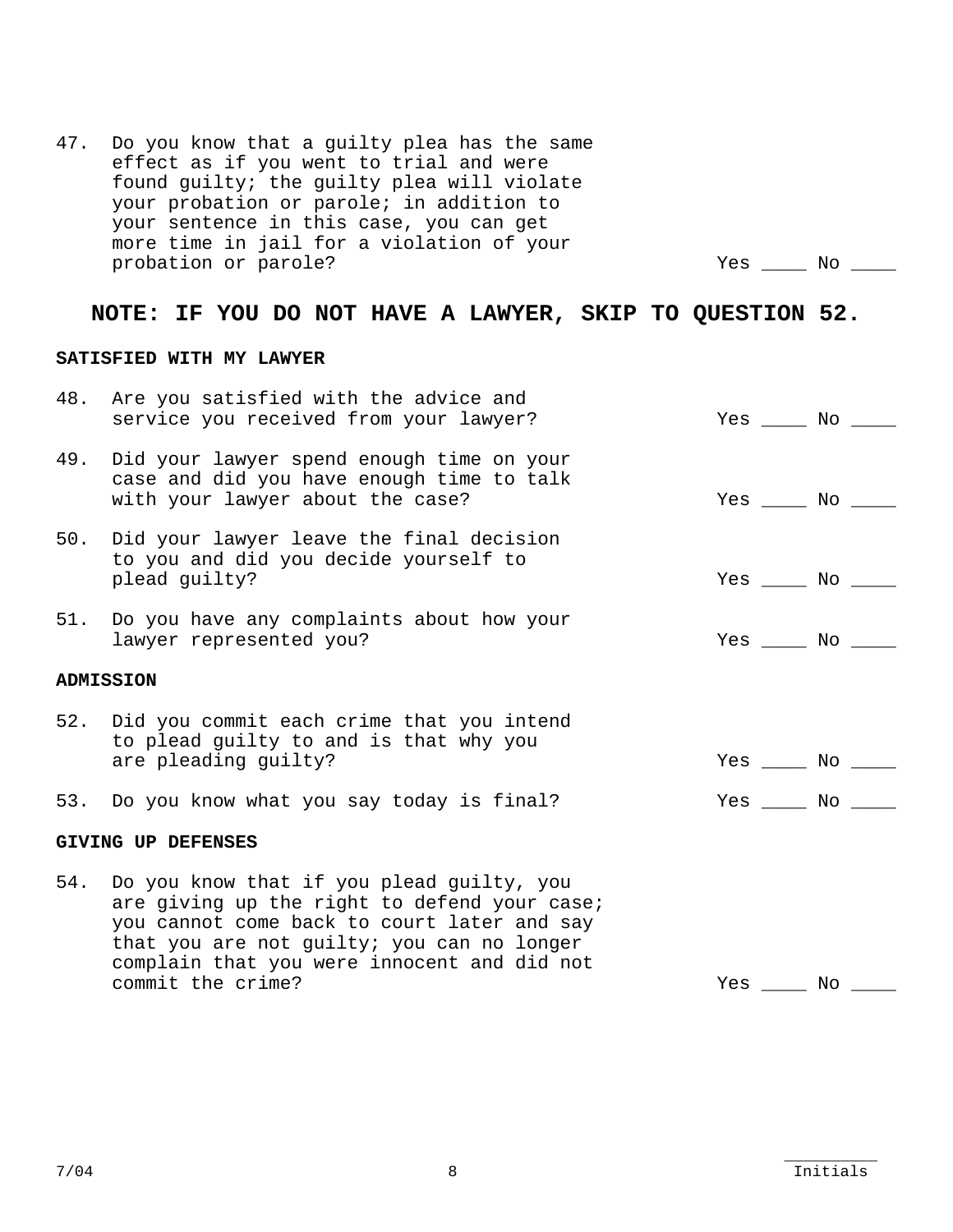|     | NOTE: IF YOU DO NOT HAVE A LAWYER, SKIP TO QUESTION 52.                                                                                                                                                                                                    |                          |  |
|-----|------------------------------------------------------------------------------------------------------------------------------------------------------------------------------------------------------------------------------------------------------------|--------------------------|--|
|     | SATISFIED WITH MY LAWYER                                                                                                                                                                                                                                   |                          |  |
| 48. | Are you satisfied with the advice and<br>service you received from your lawyer?                                                                                                                                                                            | Yes No                   |  |
| 49. | Did your lawyer spend enough time on your<br>case and did you have enough time to talk<br>with your lawyer about the case?                                                                                                                                 | $Yes \_\_\_ No \_\_\_$   |  |
|     | 50. Did your lawyer leave the final decision<br>to you and did you decide yourself to<br>plead guilty?                                                                                                                                                     | $Yes \_\_\_ No \_\_\_$   |  |
| 51. | Do you have any complaints about how your<br>lawyer represented you?                                                                                                                                                                                       | $Yes \_\_\_\_ No \_\_\_$ |  |
|     | <b>ADMISSION</b>                                                                                                                                                                                                                                           |                          |  |
|     | 52. Did you commit each crime that you intend<br>to plead guilty to and is that why you<br>are pleading guilty?                                                                                                                                            | $Yes \_\_\_ No \_\_\_$   |  |
|     | 53. Do you know what you say today is final?                                                                                                                                                                                                               | Yes No                   |  |
|     | <b>GIVING UP DEFENSES</b>                                                                                                                                                                                                                                  |                          |  |
| 54. | Do you know that if you plead guilty, you<br>are giving up the right to defend your case;<br>you cannot come back to court later and say<br>that you are not guilty; you can no longer<br>complain that you were innocent and did not<br>commit the crime? | $Yes$ $No$ $\_\_$        |  |

probation or parole? The contraction of parole?

47. Do you know that a guilty plea has the same effect as if you went to trial and were found guilty; the guilty plea will violate

Initials  $7/04$  Initials and  $8$  initials in the set of  $8$  initials in the set of  $8$  initials in the set of  $8$  initials in the set of  $8$  initials in the set of  $8$  initials in the set of  $8$  initials in the set of  $8$  initials

## your probation or parole; in addition to your sentence in this case, you can get more time in jail for a violation of your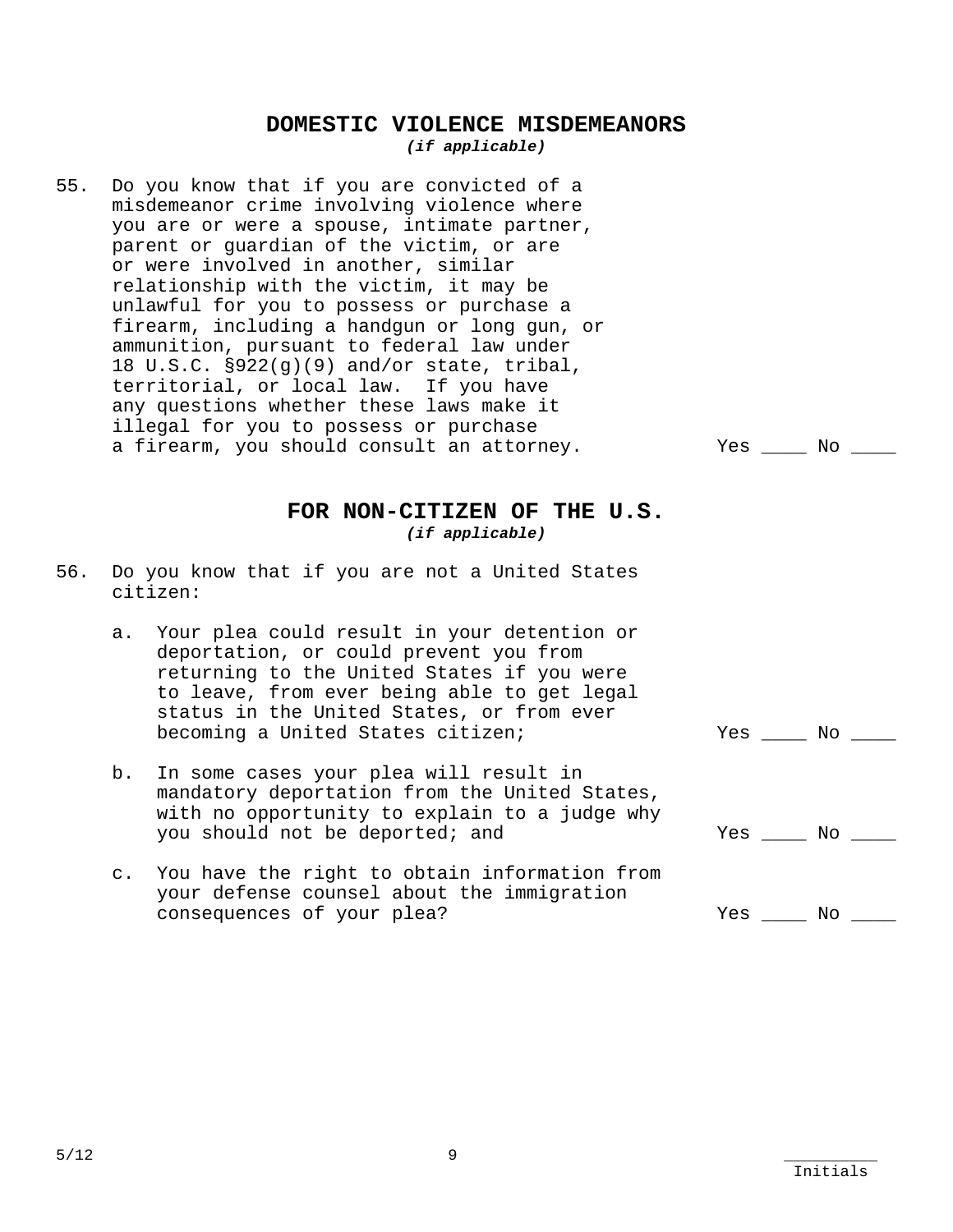## **DOMESTIC VIOLENCE MISDEMEANORS**  *(if applicable)*

55. Do you know that if you are convicted of a misdemeanor crime involving violence where you are or were a spouse, intimate partner, parent or guardian of the victim, or are or were involved in another, similar relationship with the victim, it may be unlawful for you to possess or purchase a firearm, including a handgun or long gun, or ammunition, pursuant to federal law under 18 U.S.C. §922(g)(9) and/or state, tribal, territorial, or local law. If you have any questions whether these laws make it illegal for you to possess or purchase a firearm, you should consult an attorney.  $\qquad \qquad$  Yes \_\_\_\_ No \_\_\_\_

## **FOR NON-CITIZEN OF THE U.S.**  *(if applicable)*

- 56. Do you know that if you are not a United States citizen:
	- a. Your plea could result in your detention or deportation, or could prevent you from returning to the United States if you were to leave, from ever being able to get legal status in the United States, or from ever becoming a United States citizen; The Montest Communist Mesile Montest No. 2014
	- b. In some cases your plea will result in mandatory deportation from the United States, with no opportunity to explain to a judge why you should not be deported; and  $Yes$  and  $Yes$  and  $Yes$  and  $Yes$
	- c. You have the right to obtain information from your defense counsel about the immigration consequences of your plea? The Manus of Yes All Mo and Mo and Mo and Mo and Mo and Mo and Mo and Mo and Mo and Mo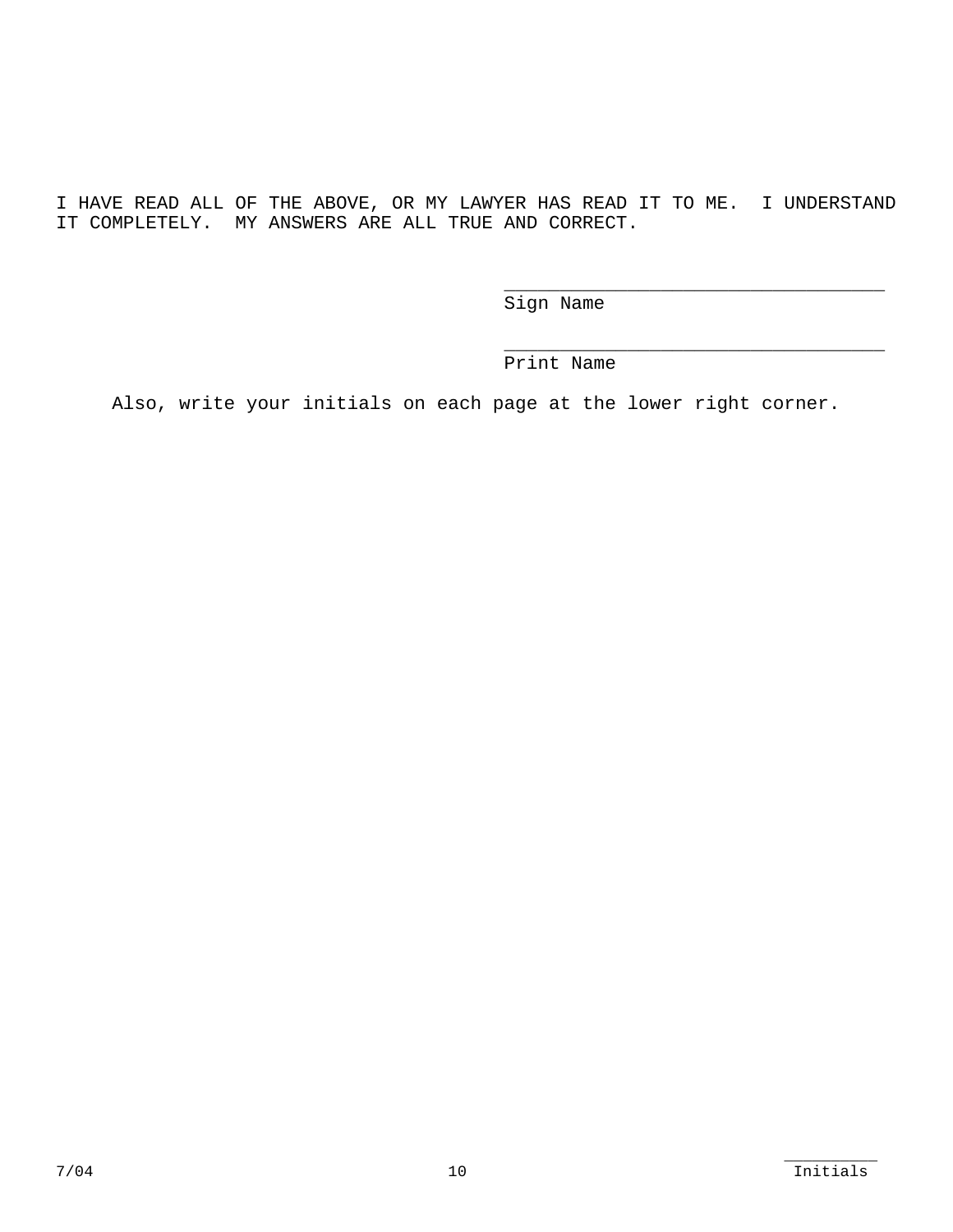I HAVE READ ALL OF THE ABOVE, OR MY LAWYER HAS READ IT TO ME. I UNDERSTAND IT COMPLETELY. MY ANSWERS ARE ALL TRUE AND CORRECT.

Sign Name

\_\_\_\_\_\_\_\_\_\_\_\_\_\_\_\_\_\_\_\_\_\_\_\_\_\_\_\_\_\_\_\_\_\_

\_\_\_\_\_\_\_\_\_\_\_\_\_\_\_\_\_\_\_\_\_\_\_\_\_\_\_\_\_\_\_\_\_\_

Print Name

Also, write your initials on each page at the lower right corner.